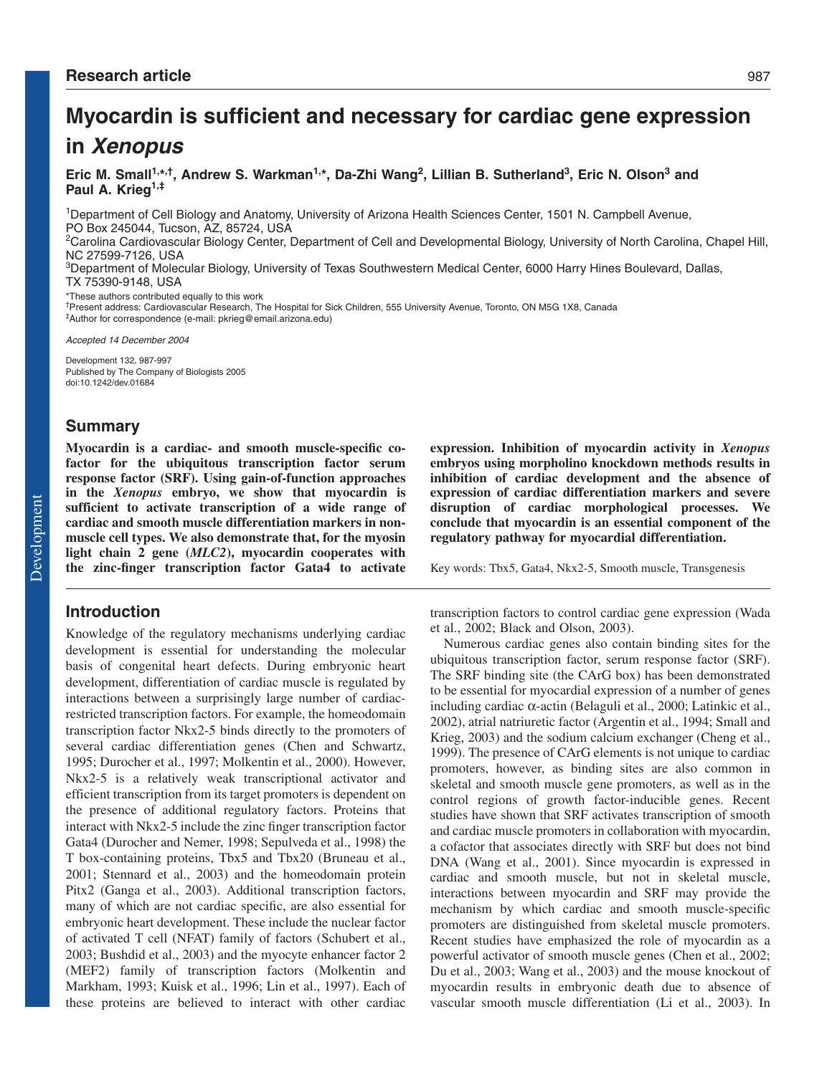# **Myocardin is sufficient and necessary for cardiac gene expression in Xenopus**

**Eric M. Small1,\*,†, Andrew S. Warkman1,\*, Da-Zhi Wang2, Lillian B. Sutherland3, Eric N. Olson3 and Paul A. Krieg1,‡**

1Department of Cell Biology and Anatomy, University of Arizona Health Sciences Center, 1501 N. Campbell Avenue, PO Box 245044, Tucson, AZ, 85724, USA

<sup>2</sup>Carolina Cardiovascular Biology Center, Department of Cell and Developmental Biology, University of North Carolina, Chapel Hill, NC 27599-7126, USA

3Department of Molecular Biology, University of Texas Southwestern Medical Center, 6000 Harry Hines Boulevard, Dallas, TX 75390-9148, USA

\*These authors contributed equally to this work

†Present address: Cardiovascular Research, The Hospital for Sick Children, 555 University Avenue, Toronto, ON M5G 1X8, Canada ‡Author for correspondence (e-mail: pkrieg@email.arizona.edu)

Accepted 14 December 2004

Development 132, 987-997 Published by The Company of Biologists 2005 doi:10.1242/dev.01684

# **Summary**

**Myocardin is a cardiac- and smooth muscle-specific cofactor for the ubiquitous transcription factor serum response factor (SRF). Using gain-of-function approaches in the** *Xenopus* **embryo, we show that myocardin is sufficient to activate transcription of a wide range of cardiac and smooth muscle differentiation markers in nonmuscle cell types. We also demonstrate that, for the myosin light chain 2 gene (***MLC2***), myocardin cooperates with the zinc-finger transcription factor Gata4 to activate**

# **Introduction**

Knowledge of the regulatory mechanisms underlying cardiac development is essential for understanding the molecular basis of congenital heart defects. During embryonic heart development, differentiation of cardiac muscle is regulated by interactions between a surprisingly large number of cardiacrestricted transcription factors. For example, the homeodomain transcription factor Nkx2-5 binds directly to the promoters of several cardiac differentiation genes (Chen and Schwartz, 1995; Durocher et al., 1997; Molkentin et al., 2000). However, Nkx2-5 is a relatively weak transcriptional activator and efficient transcription from its target promoters is dependent on the presence of additional regulatory factors. Proteins that interact with Nkx2-5 include the zinc finger transcription factor Gata4 (Durocher and Nemer, 1998; Sepulveda et al., 1998) the T box-containing proteins, Tbx5 and Tbx20 (Bruneau et al., 2001; Stennard et al., 2003) and the homeodomain protein Pitx2 (Ganga et al., 2003). Additional transcription factors, many of which are not cardiac specific, are also essential for embryonic heart development. These include the nuclear factor of activated T cell (NFAT) family of factors (Schubert et al., 2003; Bushdid et al., 2003) and the myocyte enhancer factor 2 (MEF2) family of transcription factors (Molkentin and Markham, 1993; Kuisk et al., 1996; Lin et al., 1997). Each of these proteins are believed to interact with other cardiac **expression. Inhibition of myocardin activity in** *Xenopus* **embryos using morpholino knockdown methods results in inhibition of cardiac development and the absence of expression of cardiac differentiation markers and severe disruption of cardiac morphological processes. We conclude that myocardin is an essential component of the regulatory pathway for myocardial differentiation.**

Key words: Tbx5, Gata4, Nkx2-5, Smooth muscle, Transgenesis

transcription factors to control cardiac gene expression (Wada et al., 2002; Black and Olson, 2003).

Numerous cardiac genes also contain binding sites for the ubiquitous transcription factor, serum response factor (SRF). The SRF binding site (the CArG box) has been demonstrated to be essential for myocardial expression of a number of genes including cardiac α-actin (Belaguli et al., 2000; Latinkic et al., 2002), atrial natriuretic factor (Argentin et al., 1994; Small and Krieg, 2003) and the sodium calcium exchanger (Cheng et al., 1999). The presence of CArG elements is not unique to cardiac promoters, however, as binding sites are also common in skeletal and smooth muscle gene promoters, as well as in the control regions of growth factor-inducible genes. Recent studies have shown that SRF activates transcription of smooth and cardiac muscle promoters in collaboration with myocardin, a cofactor that associates directly with SRF but does not bind DNA (Wang et al., 2001). Since myocardin is expressed in cardiac and smooth muscle, but not in skeletal muscle, interactions between myocardin and SRF may provide the mechanism by which cardiac and smooth muscle-specific promoters are distinguished from skeletal muscle promoters. Recent studies have emphasized the role of myocardin as a powerful activator of smooth muscle genes (Chen et al., 2002; Du et al., 2003; Wang et al., 2003) and the mouse knockout of myocardin results in embryonic death due to absence of vascular smooth muscle differentiation (Li et al., 2003). In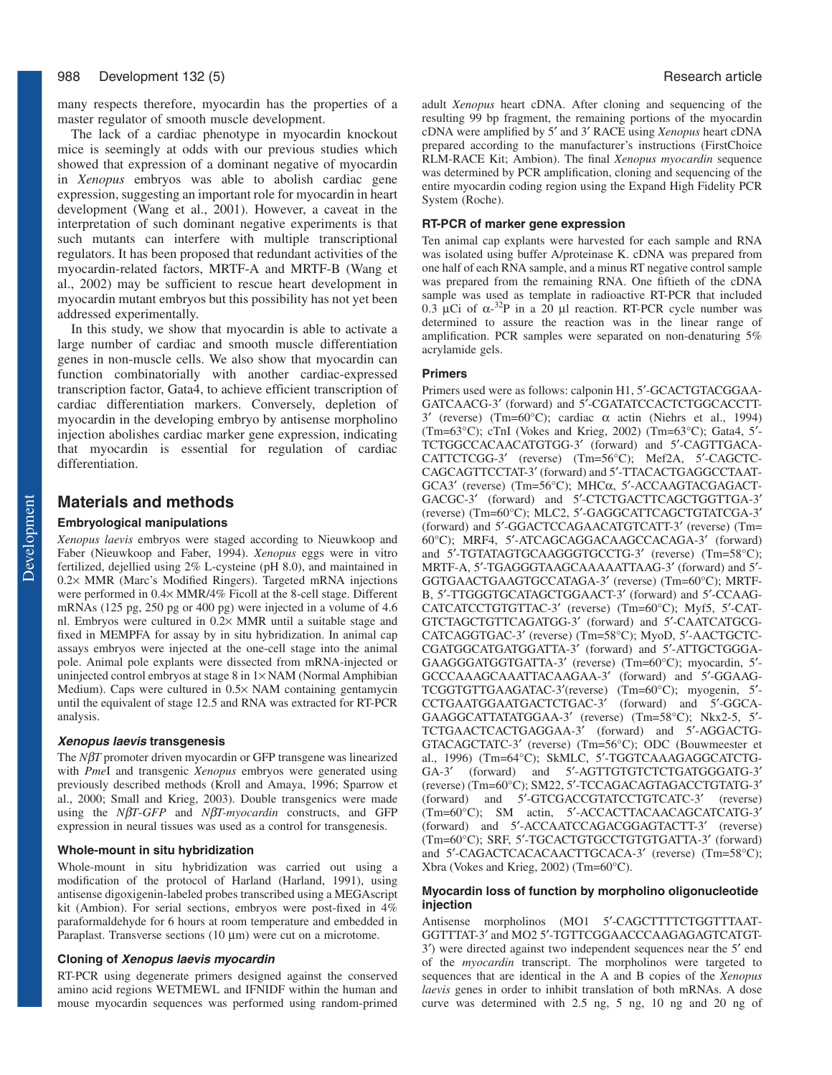many respects therefore, myocardin has the properties of a master regulator of smooth muscle development.

The lack of a cardiac phenotype in myocardin knockout mice is seemingly at odds with our previous studies which showed that expression of a dominant negative of myocardin in *Xenopus* embryos was able to abolish cardiac gene expression, suggesting an important role for myocardin in heart development (Wang et al., 2001). However, a caveat in the interpretation of such dominant negative experiments is that such mutants can interfere with multiple transcriptional regulators. It has been proposed that redundant activities of the myocardin-related factors, MRTF-A and MRTF-B (Wang et al., 2002) may be sufficient to rescue heart development in myocardin mutant embryos but this possibility has not yet been addressed experimentally.

In this study, we show that myocardin is able to activate a large number of cardiac and smooth muscle differentiation genes in non-muscle cells. We also show that myocardin can function combinatorially with another cardiac-expressed transcription factor, Gata4, to achieve efficient transcription of cardiac differentiation markers. Conversely, depletion of myocardin in the developing embryo by antisense morpholino injection abolishes cardiac marker gene expression, indicating that myocardin is essential for regulation of cardiac differentiation.

# **Materials and methods**

# **Embryological manipulations**

*Xenopus laevis* embryos were staged according to Nieuwkoop and Faber (Nieuwkoop and Faber, 1994). *Xenopus* eggs were in vitro fertilized, dejellied using 2% L-cysteine (pH 8.0), and maintained in 0.2× MMR (Marc's Modified Ringers). Targeted mRNA injections were performed in 0.4× MMR/4% Ficoll at the 8-cell stage. Different mRNAs (125 pg, 250 pg or 400 pg) were injected in a volume of 4.6 nl. Embryos were cultured in 0.2× MMR until a suitable stage and fixed in MEMPFA for assay by in situ hybridization. In animal cap assays embryos were injected at the one-cell stage into the animal pole. Animal pole explants were dissected from mRNA-injected or uninjected control embryos at stage  $8$  in  $1 \times NAM$  (Normal Amphibian Medium). Caps were cultured in 0.5× NAM containing gentamycin until the equivalent of stage 12.5 and RNA was extracted for RT-PCR analysis.

#### **Xenopus laevis transgenesis**

The *N*β*T* promoter driven myocardin or GFP transgene was linearized with *Pme*I and transgenic *Xenopus* embryos were generated using previously described methods (Kroll and Amaya, 1996; Sparrow et al., 2000; Small and Krieg, 2003). Double transgenics were made using the *N*β*T*-*GFP* and *N*β*T-myocardin* constructs, and GFP expression in neural tissues was used as a control for transgenesis.

### **Whole-mount in situ hybridization**

Whole-mount in situ hybridization was carried out using a modification of the protocol of Harland (Harland, 1991), using antisense digoxigenin-labeled probes transcribed using a MEGAscript kit (Ambion). For serial sections, embryos were post-fixed in 4% paraformaldehyde for 6 hours at room temperature and embedded in Paraplast. Transverse sections (10 µm) were cut on a microtome.

#### **Cloning of Xenopus laevis myocardin**

RT-PCR using degenerate primers designed against the conserved amino acid regions WETMEWL and IFNIDF within the human and mouse myocardin sequences was performed using random-primed adult *Xenopus* heart cDNA. After cloning and sequencing of the resulting 99 bp fragment, the remaining portions of the myocardin cDNA were amplified by 5′ and 3′ RACE using *Xenopus* heart cDNA prepared according to the manufacturer's instructions (FirstChoice RLM-RACE Kit; Ambion). The final *Xenopus myocardin* sequence was determined by PCR amplification, cloning and sequencing of the entire myocardin coding region using the Expand High Fidelity PCR System (Roche).

### **RT-PCR of marker gene expression**

Ten animal cap explants were harvested for each sample and RNA was isolated using buffer A/proteinase K. cDNA was prepared from one half of each RNA sample, and a minus RT negative control sample was prepared from the remaining RNA. One fiftieth of the cDNA sample was used as template in radioactive RT-PCR that included 0.3 µCi of  $\alpha$ -<sup>32</sup>P in a 20 µl reaction. RT-PCR cycle number was determined to assure the reaction was in the linear range of amplification. PCR samples were separated on non-denaturing 5% acrylamide gels.

### **Primers**

Primers used were as follows: calponin H1, 5′-GCACTGTACGGAA-GATCAACG-3′ (forward) and 5′-CGATATCCACTCTGGCACCTT-3′ (reverse) (Tm=60°C); cardiac α actin (Niehrs et al., 1994) (Tm=63°C); cTnI (Vokes and Krieg, 2002) (Tm=63°C); Gata4, 5′- TCTGGCCACAACATGTGG-3′ (forward) and 5′-CAGTTGACA-CATTCTCGG-3′ (reverse) (Tm=56°C); Mef2A, 5′-CAGCTC-CAGCAGTTCCTAT-3′ (forward) and 5′-TTACACTGAGGCCTAAT-GCA3′ (reverse) (Tm=56°C); MHCα, 5′-ACCAAGTACGAGACT-GACGC-3′ (forward) and 5′-CTCTGACTTCAGCTGGTTGA-3′ (reverse) (Tm=60°C); MLC2, 5′-GAGGCATTCAGCTGTATCGA-3′ (forward) and 5′-GGACTCCAGAACATGTCATT-3′ (reverse) (Tm= 60°C); MRF4, 5′-ATCAGCAGGACAAGCCACAGA-3′ (forward) and 5′-TGTATAGTGCAAGGGTGCCTG-3′ (reverse) (Tm=58°C); MRTF-A, 5′-TGAGGGTAAGCAAAAATTAAG-3′ (forward) and 5′- GGTGAACTGAAGTGCCATAGA-3′ (reverse) (Tm=60°C); MRTF-B, 5′-TTGGGTGCATAGCTGGAACT-3′ (forward) and 5′-CCAAG-CATCATCCTGTGTTAC-3′ (reverse) (Tm=60°C); Myf5, 5′-CAT-GTCTAGCTGTTCAGATGG-3′ (forward) and 5′-CAATCATGCG-CATCAGGTGAC-3′ (reverse) (Tm=58°C); MyoD, 5′-AACTGCTC-CGATGGCATGATGGATTA-3′ (forward) and 5′-ATTGCTGGGA-GAAGGGATGGTGATTA-3′ (reverse) (Tm=60°C); myocardin, 5′- GCCCAAAGCAAATTACAAGAA-3′ (forward) and 5′-GGAAG-TCGGTGTTGAAGATAC-3′(reverse) (Tm=60°C); myogenin, 5′- CCTGAATGGAATGACTCTGAC-3′ (forward) and 5′-GGCA-GAAGGCATTATATGGAA-3′ (reverse) (Tm=58°C); Nkx2-5, 5′- TCTGAACTCACTGAGGAA-3′ (forward) and 5′-AGGACTG-GTACAGCTATC-3′ (reverse) (Tm=56°C); ODC (Bouwmeester et al., 1996) (Tm=64°C); SkMLC, 5′-TGGTCAAAGAGGCATCTG-GA-3′ (forward) and 5′-AGTTGTGTCTCTGATGGGATG-3′ (reverse) (Tm=60°C); SM22, 5′-TCCAGACAGTAGACCTGTATG-3′ (forward) and 5′-GTCGACCGTATCCTGTCATC-3′ (reverse) (Tm=60°C); SM actin, 5′-ACCACTTACAACAGCATCATG-3′ (forward) and 5′-ACCAATCCAGACGGAGTACTT-3′ (reverse) (Tm=60°C); SRF, 5′-TGCACTGTGCCTGTGTGATTA-3′ (forward) and 5′-CAGACTCACACAACTTGCACA-3′ (reverse) (Tm=58°C); Xbra (Vokes and Krieg, 2002) (Tm=60°C).

#### **Myocardin loss of function by morpholino oligonucleotide injection**

Antisense morpholinos (MO1 5′-CAGCTTTTCTGGTTTAAT-GGTTTAT-3′ and MO2 5′-TGTTCGGAACCCAAGAGAGTCATGT-3′) were directed against two independent sequences near the 5′ end of the *myocardin* transcript. The morpholinos were targeted to sequences that are identical in the A and B copies of the *Xenopus laevis* genes in order to inhibit translation of both mRNAs. A dose curve was determined with 2.5 ng, 5 ng, 10 ng and 20 ng of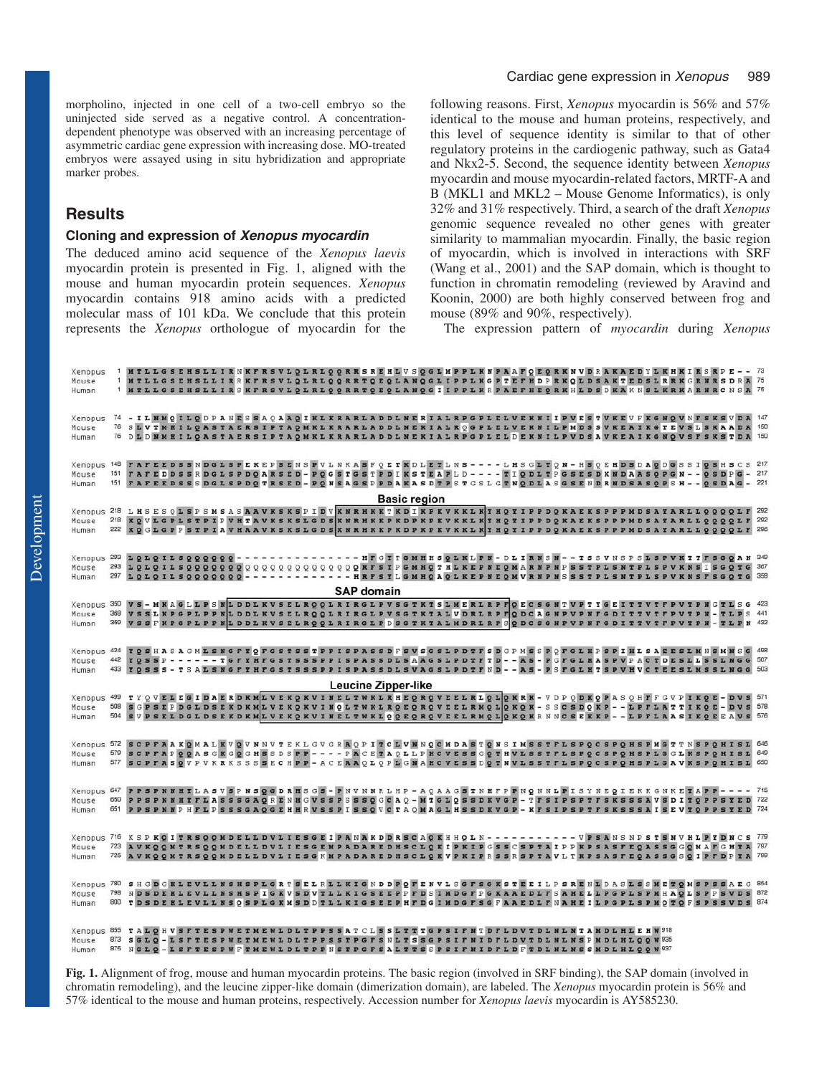morpholino, injected in one cell of a two-cell embryo so the uninjected side served as a negative control. A concentrationdependent phenotype was observed with an increasing percentage of asymmetric cardiac gene expression with increasing dose. MO-treated embryos were assayed using in situ hybridization and appropriate marker probes.

# **Results**

### **Cloning and expression of Xenopus myocardin**

The deduced amino acid sequence of the *Xenopus laevis* myocardin protein is presented in Fig. 1, aligned with the mouse and human myocardin protein sequences. *Xenopus* myocardin contains 918 amino acids with a predicted molecular mass of 101 kDa. We conclude that this protein represents the *Xenopus* orthologue of myocardin for the following reasons. First, *Xenopus* myocardin is 56% and 57% identical to the mouse and human proteins, respectively, and this level of sequence identity is similar to that of other regulatory proteins in the cardiogenic pathway, such as Gata4 and Nkx2-5. Second, the sequence identity between *Xenopus* myocardin and mouse myocardin-related factors, MRTF-A and B (MKL1 and MKL2 – Mouse Genome Informatics), is only 32% and 31% respectively. Third, a search of the draft *Xenopus* genomic sequence revealed no other genes with greater similarity to mammalian myocardin. Finally, the basic region of myocardin, which is involved in interactions with SRF (Wang et al., 2001) and the SAP domain, which is thought to function in chromatin remodeling (reviewed by Aravind and Koonin, 2000) are both highly conserved between frog and mouse (89% and 90%, respectively).

The expression pattern of *myocardin* during *Xenopus*

| Xenopus<br>Mouse<br>Human                                                                         | $\mathbf{1}$ |                                                                                                |  |                                                                     |  |  |  |  |                   |                            |  |  |  |  |  |  |  | SE H S L L I R N K F R S V L Q L R L Q Q R R S R E H L V S Q G L M P P L K N P A A F Q E Q R K N V D R A K A E D Y L K H K I R S R P E              | MTLLGSEHSLLIRRKFRSVLQLRLQQRRTQEQLANQGLIPPLKGPTEFHDPRKQLDSAKTEDSLRRKGRNRSDRA <sup>75</sup><br>MTLLGSEHSLLIRSKFRSVLQLRLQQRRTQEQLANQGIIPPLKRPAEFHEQRKHLDSDKAKNSLKRKARMRCNSA 75                                                                                                                                                                            |                       |
|---------------------------------------------------------------------------------------------------|--------------|------------------------------------------------------------------------------------------------|--|---------------------------------------------------------------------|--|--|--|--|-------------------|----------------------------|--|--|--|--|--|--|--|-----------------------------------------------------------------------------------------------------------------------------------------------------|--------------------------------------------------------------------------------------------------------------------------------------------------------------------------------------------------------------------------------------------------------------------------------------------------------------------------------------------------------|-----------------------|
| Xenopus<br>Mouse<br>Human                                                                         |              |                                                                                                |  |                                                                     |  |  |  |  |                   |                            |  |  |  |  |  |  |  |                                                                                                                                                     | 74 - ILEMOILODPANESSAOAAOIKLKRARLADDLNERIALRPGPLELVEKNIIPVESTVKEVFKGNOVNFSKSVDA 147<br>76 SIVTMHILQASTAERSIPTAQMKLKRARLADDLNEKIALRQGPLELVEKNILPMDSSVKEAIKGTEVSLSKAADA 150<br>76 DLDNMHILQASTAERSIPTAQMKLKRARLADDLNEKIALRPGPLELDEKNILPVDSAVKEAIKGNQVSFSKSTDA 150                                                                                        |                       |
| Xenopus<br>Mouse<br>Human                                                                         | 148<br>151   | <sup>151</sup> FAFEEDSSSDGLSPDQTRSED - PQNSAGSPPDAKASDTPSTGSLGTNQDLASGSENDRNDSASQPSH - - QSDAG |  |                                                                     |  |  |  |  |                   | <b>Basic region</b>        |  |  |  |  |  |  |  | FAFEDDSSRDGLSPDQARSED-PQGSTGSTPDIKSTEAPLD----TIQDLTPGSESDKNDAASQPGN--QSDP                                                                           | FAFEEDSSNDGLSPEKEPSENSPVLNKASFQETKDLETLNS ---- LHSGLTQN - HSQEHDSDAQDGSSIQSHSCS 217                                                                                                                                                                                                                                                                    | $-217$<br>$-221$      |
| Xenopus<br>Mouse<br>Human                                                                         |              |                                                                                                |  |                                                                     |  |  |  |  |                   |                            |  |  |  |  |  |  |  |                                                                                                                                                     | 218 LHSESQLSPSMSASAAVKSKSPIDV KNRHKKT KDIKPKVKKLK XHQYIPPDQ KAEKSPPPMDSAYARLLQQQQLF 292<br>218   KO VLGPLSTPIP VHTAVKSKSLGDS X NRHKKPKDPKPKVKKLK THOTIPPDOKAEKSPPPMDSATARLLOOOOLF 292<br>222   K Q G L G P P S T P I A V H A A V K S K S L G D S K N R H K K P K D P K V K K L K Y H Q T I P P D Q K A E K S P P P M D S A Y A R L L Q Q Q Q L F   296 |                       |
| Xenopus <sub>293</sub><br>Mouse<br>Human                                                          | 293          | 297 LOLOILSOOOOOOO                                                                             |  |                                                                     |  |  |  |  | <b>SAP</b> domain |                            |  |  |  |  |  |  |  | --- HRFSTLGMHQAQLKEPNEQMVRNPNSSSTPLSNTPLSPVKNSFSGQT                                                                                                 | LOLOILSOOOOOO - - - - - - - - - - - - - - HFGXTGMHHSOLKLPN - DLIRNSN - - TSSVNSPSLSPVKTTFSGOAN 349                                                                                                                                                                                                                                                     |                       |
| Xenopus<br>Mouse<br>Human                                                                         | 350<br>368   |                                                                                                |  |                                                                     |  |  |  |  |                   |                            |  |  |  |  |  |  |  |                                                                                                                                                     | VS - MKAGLLPS WLDDLKVSELROOLRIRGLPVSGTKTSLMERLRPFOECSGNTVPTYGEITTVTFPVTPNGTLSG 423<br>VSSLKPGPLPPNLDDLKVSELRQQLRIRGLPVSGTKTALVDRLRPFQDCAGNPVPNFGDITTVTFPVTPN-TLPS 441<br>VSSFKPGPLPPNLDDLKVSELROOLRIRGLPDSGTKTALMDRLRPSODCSGNPVPNFGDITTVTFPVTPN-TLPN 432                                                                                               |                       |
| Xenopus<br>Mouse<br>Human                                                                         | 424<br>442   |                                                                                                |  |                                                                     |  |  |  |  |                   | <b>Leucine Zipper-like</b> |  |  |  |  |  |  |  |                                                                                                                                                     | TO SHASA GML SNG FTO FG STSSTPPISPASSD FSVSG SLPDTFSD GPMSSPOFGLHPSPIHLSAEESLMNSMNSG<br>TOSSP------TGFTHFGSTSSSPPISPASSDLSAAGSLPDTFTD--AS-PGFGLHASPVPACTDESLLSSLNGG 507<br>YOSSS-TSALSNGFYHFGSTSSSPPISPASSDLSVAGSLPDTFND--AS-PSFGLHTSPVHVCTEESLMSSLNGG 503                                                                                             | 498                   |
| Xenopus<br>Mouse<br>Human                                                                         | 508          |                                                                                                |  |                                                                     |  |  |  |  |                   |                            |  |  |  |  |  |  |  | S G P S E P D G L D S E K D K M L V E K Q K V I N Q L T W K L R Q E Q R Q V E E L R M Q L Q K Q K - S S C S D Q K P - - L P F L A T T I K Q E - D V | 499 TYQVELEGIDAERDKMLVEKQKVINELTWKLRHEQRQVEELRLQLQKRK-VDPQDKQPASQHFFGVPIKQE-DVS 571<br>SVPSELDGLDSEKDKMLVEKQKVINELTWKLQQEQRQVEELRMQLQKQKRNNCSEKKP - - LPFLAASIKQEEAVS 576                                                                                                                                                                              | <b>s</b> 578          |
| Mouse<br>Human                                                                                    | 579          |                                                                                                |  |                                                                     |  |  |  |  |                   |                            |  |  |  |  |  |  |  | SCPPAPOOASGKGOGHSSDSPP - - - - PACETAQLLPHCVESSGOTHVLSSTFLSPOCSPOHSPLGGLKSPOHIS                                                                     | Xenopus 572 SCPFAAKQNALKVQVNNVTEKLGVGRAQPITCLVNNQCMDASTQNSIMSSTFLSPQCSPQHSPMGTTNSPQHISL 646<br>577 SCPFASQVPVKRKSSSSECHPP-ACEAAQLQPLGNAHCVESSDQTNVLSSTFLSPQCSPQHSPLGAVKSPQHISL 650                                                                                                                                                                     | L 649                 |
| Xenopus 647<br>Mouse<br>Human                                                                     | 650          | 651 PPSPNNPHFLPSSSGAQGEHHRVSSPISSQVCTAQMAGLHSSDKVGP-KFSIPSPTFSKSSSAISEVTQPPSTE                 |  |                                                                     |  |  |  |  |                   |                            |  |  |  |  |  |  |  | PPSPNNHYFLASSSGAQRENHGVSSPSSSQGCAQ - MTGLQSSDKVGP - TFSIPSPTFSKSSSAVSDITQPPSYE                                                                      | PPSPNNHYLASVSPNSQGDRHSGS-PNVNNRLHP-AQAAGSTNHFPPNQNNLPISYNEQIEKKGNKETAPP---- 715                                                                                                                                                                                                                                                                        | <b>D</b> 722<br>D 724 |
| Mouse<br>Human                                                                                    |              |                                                                                                |  |                                                                     |  |  |  |  |                   |                            |  |  |  |  |  |  |  |                                                                                                                                                     | Xenopus 716 KSPKOITRSOOMDELLDVLIESGEIPANAKDDRSCAOKHHOLN----------VPSANSNPSTSNVHLPYDNCS 779<br>723 AVKOOMTRSOOMDELLDVLIESGEMPADAREDHSCLOKIPKIPGSSCSPTAIPPKPSASFEOASSGGOMAFGHTA 797<br>725 AVKOOMTRSOOMDELLDVLIESGKMPADAREDHSCLOKVPKIPRSSRSPTAVLTKPSASFEQASSGSOIPFDPYA 799                                                                               |                       |
| Xenopus<br>Mouse<br>Human                                                                         | 798          | 800 TDSDEHLEVLLNSQSPLGKMSDDTLLKIGSEEPHFDGINDGFSGFAAEDLFNAHEILPGPLSPMQTQFSPSSVD                 |  |                                                                     |  |  |  |  |                   |                            |  |  |  |  |  |  |  | N D S D E H L E V L L N S H S P I G K V S D V T L L K I G S E E P P F D S I M D G F P G K A A E D L F S A H E L L P G P L S P M H A Q L S P P S V   | 780 SHGDGHLEVLLNSHSPLGRTSELRLLKIGNDDPOFENVLSGFSGKSTEEILPSRENLDASLSSMETOMSPSSAEG 854                                                                                                                                                                                                                                                                    | <b>s</b> 872          |
| Xenopus 855 TALOHVSFTESPWETMEWLDLTPPSSATCLSSLTTTGPSIFNTDFLDVTDLNLNTAMDLHLEHW918<br>Mouse<br>Human | 873          | 875 NGLO - LSFTESPWFTMEWLDLTPPNSTPGFSALTTSSPSIFMIDFLDFTDLNLNSSMDLHLOOW937                      |  | SGLQ-LSFTESPWETMEWLDLTPPSSTPGFSNLTSSGPSIFNIDFLDVTDLNLNSPMDLHLQQW935 |  |  |  |  |                   |                            |  |  |  |  |  |  |  |                                                                                                                                                     |                                                                                                                                                                                                                                                                                                                                                        |                       |

**Fig. 1.** Alignment of frog, mouse and human myocardin proteins. The basic region (involved in SRF binding), the SAP domain (involved in chromatin remodeling), and the leucine zipper-like domain (dimerization domain), are labeled. The *Xenopus* myocardin protein is 56% and 57% identical to the mouse and human proteins, respectively. Accession number for *Xenopus laevis* myocardin is AY585230.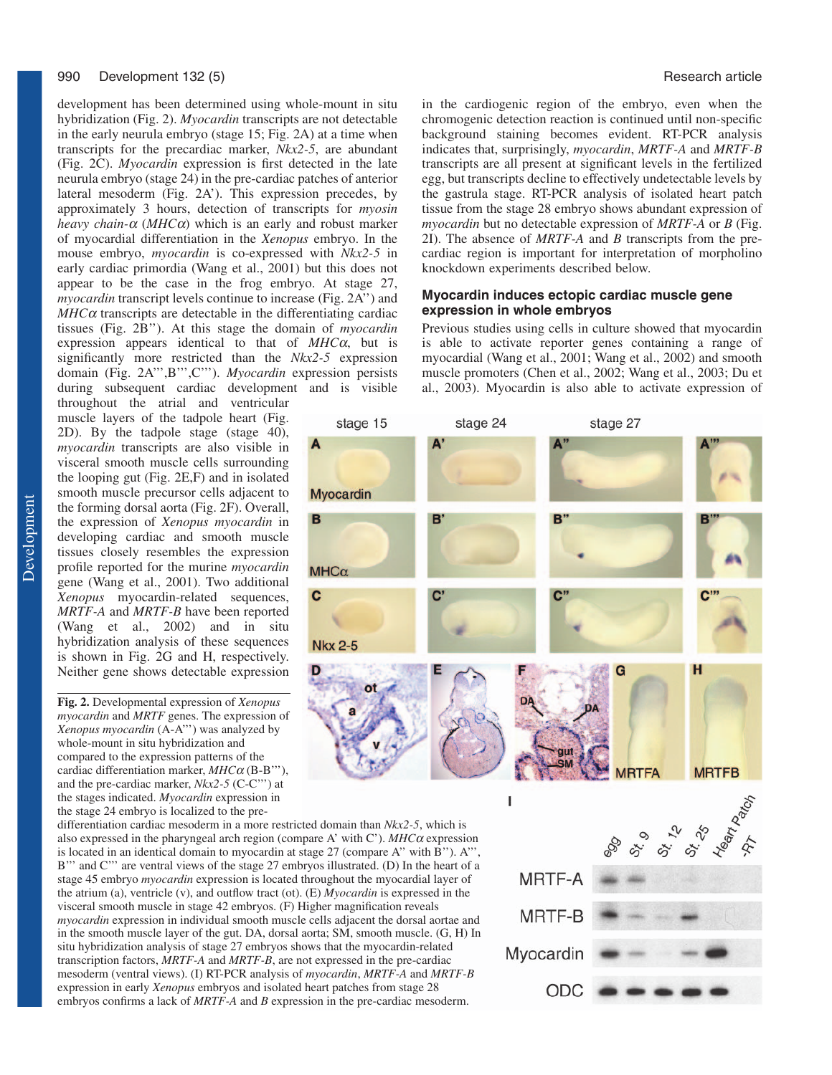#### 990 Development 132 (5) **Research article Development 132 (5)** Research article

development has been determined using whole-mount in situ hybridization (Fig. 2). *Myocardin* transcripts are not detectable in the early neurula embryo (stage 15; Fig. 2A) at a time when transcripts for the precardiac marker, *Nkx2-5*, are abundant (Fig. 2C). *Myocardin* expression is first detected in the late neurula embryo (stage 24) in the pre-cardiac patches of anterior lateral mesoderm (Fig. 2A'). This expression precedes, by approximately 3 hours, detection of transcripts for *myosin heavy chain-*<sup>α</sup> (*MHC*α) which is an early and robust marker of myocardial differentiation in the *Xenopus* embryo. In the mouse embryo, *myocardin* is co-expressed with *Nkx2-5* in early cardiac primordia (Wang et al., 2001) but this does not appear to be the case in the frog embryo. At stage 27, *myocardin* transcript levels continue to increase (Fig. 2A'') and  $MHC\alpha$  transcripts are detectable in the differentiating cardiac tissues (Fig. 2B''). At this stage the domain of *myocardin* expression appears identical to that of *MHC*α, but is significantly more restricted than the *Nkx2-5* expression domain (Fig. 2A''',B''',C'''). *Myocardin* expression persists during subsequent cardiac development and is visible

throughout the atrial and ventricular muscle layers of the tadpole heart (Fig. 2D). By the tadpole stage (stage 40), *myocardin* transcripts are also visible in visceral smooth muscle cells surrounding the looping gut (Fig. 2E,F) and in isolated smooth muscle precursor cells adjacent to the forming dorsal aorta (Fig. 2F). Overall, the expression of *Xenopus myocardin* in developing cardiac and smooth muscle tissues closely resembles the expression profile reported for the murine *myocardin* gene (Wang et al., 2001). Two additional *Xenopus* myocardin-related sequences, *MRTF-A* and *MRTF-B* have been reported (Wang et al., 2002) and in situ hybridization analysis of these sequences is shown in Fig. 2G and H, respectively. Neither gene shows detectable expression

**Fig. 2.** Developmental expression of *Xenopus myocardin* and *MRTF* genes. The expression of *Xenopus myocardin* (A-A''') was analyzed by whole-mount in situ hybridization and compared to the expression patterns of the cardiac differentiation marker, *MHC*<sup>α</sup> (B-B'''), and the pre-cardiac marker, *Nkx2-5* (C-C''') at the stages indicated. *Myocardin* expression in the stage 24 embryo is localized to the pre-

differentiation cardiac mesoderm in a more restricted domain than *Nkx2-5*, which is also expressed in the pharyngeal arch region (compare A' with C'). *MHC*<sup>α</sup> expression is located in an identical domain to myocardin at stage 27 (compare A'' with B''). A''', B''' and C''' are ventral views of the stage 27 embryos illustrated. (D) In the heart of a stage 45 embryo *myocardin* expression is located throughout the myocardial layer of the atrium (a), ventricle (v), and outflow tract (ot). (E) *Myocardin* is expressed in the visceral smooth muscle in stage 42 embryos. (F) Higher magnification reveals *myocardin* expression in individual smooth muscle cells adjacent the dorsal aortae and in the smooth muscle layer of the gut. DA, dorsal aorta; SM, smooth muscle. (G, H) In situ hybridization analysis of stage 27 embryos shows that the myocardin-related transcription factors, *MRTF-A* and *MRTF-B*, are not expressed in the pre-cardiac mesoderm (ventral views). (I) RT-PCR analysis of *myocardin*, *MRTF-A* and *MRTF-B* expression in early *Xenopus* embryos and isolated heart patches from stage 28 embryos confirms a lack of *MRTF-A* and *B* expression in the pre-cardiac mesoderm.

в

C

in the cardiogenic region of the embryo, even when the chromogenic detection reaction is continued until non-specific background staining becomes evident. RT-PCR analysis indicates that, surprisingly, *myocardin*, *MRTF-A* and *MRTF-B* transcripts are all present at significant levels in the fertilized egg, but transcripts decline to effectively undetectable levels by the gastrula stage. RT-PCR analysis of isolated heart patch tissue from the stage 28 embryo shows abundant expression of *myocardin* but no detectable expression of *MRTF-A* or *B* (Fig. 2I). The absence of *MRTF-A* and *B* transcripts from the precardiac region is important for interpretation of morpholino knockdown experiments described below.

# **Myocardin induces ectopic cardiac muscle gene expression in whole embryos**

Previous studies using cells in culture showed that myocardin is able to activate reporter genes containing a range of myocardial (Wang et al., 2001; Wang et al., 2002) and smooth muscle promoters (Chen et al., 2002; Wang et al., 2003; Du et al., 2003). Myocardin is also able to activate expression of

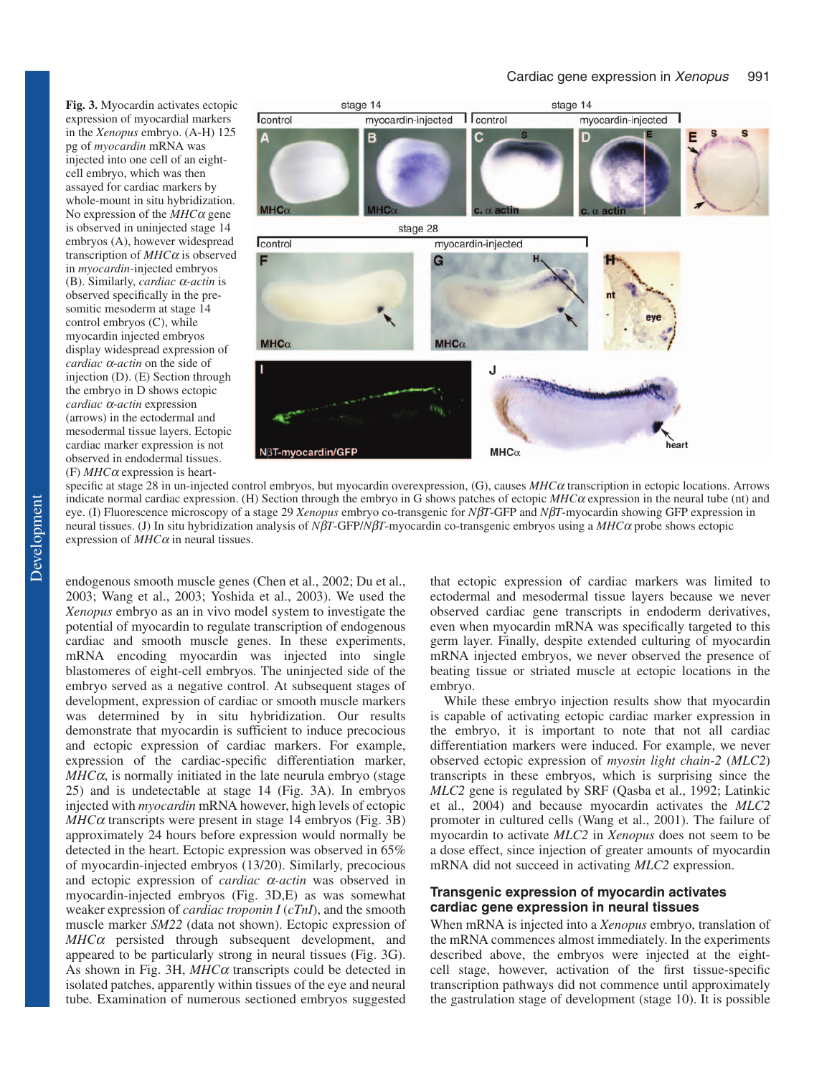**Fig. 3.** Myocardin activates ectopic expression of myocardial markers in the *Xenopus* embryo. (A-H) 125 pg of *myocardin* mRNA was injected into one cell of an eightcell embryo, which was then assayed for cardiac markers by whole-mount in situ hybridization. No expression of the *MHC*<sup>α</sup> gene is observed in uninjected stage 14 embryos (A), however widespread transcription of *MHC*<sup>α</sup> is observed in *myocardin*-injected embryos (B). Similarly, *cardiac* α*-actin* is observed specifically in the presomitic mesoderm at stage 14 control embryos (C), while myocardin injected embryos display widespread expression of *cardiac* α*-actin* on the side of injection (D). (E) Section through the embryo in D shows ectopic *cardiac* α*-actin* expression (arrows) in the ectodermal and mesodermal tissue layers. Ectopic cardiac marker expression is not observed in endodermal tissues. (F) *MHC*<sup>α</sup> expression is heart-



specific at stage 28 in un-injected control embryos, but myocardin overexpression, (G), causes *MHC*<sup>α</sup> transcription in ectopic locations. Arrows indicate normal cardiac expression. (H) Section through the embryo in G shows patches of ectopic *MHC*<sup>α</sup> expression in the neural tube (nt) and eye. (I) Fluorescence microscopy of a stage 29 *Xenopus* embryo co-transgenic for *N*β*T*-GFP and *N*β*T*-myocardin showing GFP expression in neural tissues. (J) In situ hybridization analysis of *N*β*T*-GFP/*N*β*T*-myocardin co-transgenic embryos using a *MHC*<sup>α</sup> probe shows ectopic expression of  $MHC\alpha$  in neural tissues.

endogenous smooth muscle genes (Chen et al., 2002; Du et al., 2003; Wang et al., 2003; Yoshida et al., 2003). We used the *Xenopus* embryo as an in vivo model system to investigate the potential of myocardin to regulate transcription of endogenous cardiac and smooth muscle genes. In these experiments, mRNA encoding myocardin was injected into single blastomeres of eight-cell embryos. The uninjected side of the embryo served as a negative control. At subsequent stages of development, expression of cardiac or smooth muscle markers was determined by in situ hybridization. Our results demonstrate that myocardin is sufficient to induce precocious and ectopic expression of cardiac markers. For example, expression of the cardiac-specific differentiation marker,  $MHC\alpha$ , is normally initiated in the late neurula embryo (stage 25) and is undetectable at stage 14 (Fig. 3A). In embryos injected with *myocardin* mRNA however, high levels of ectopic  $MHC\alpha$  transcripts were present in stage 14 embryos (Fig. 3B) approximately 24 hours before expression would normally be detected in the heart. Ectopic expression was observed in 65% of myocardin-injected embryos (13/20). Similarly, precocious and ectopic expression of *cardiac* α*-actin* was observed in myocardin-injected embryos (Fig. 3D,E) as was somewhat weaker expression of *cardiac troponin I* (*cTnI*), and the smooth muscle marker *SM22* (data not shown). Ectopic expression of  $MHC\alpha$  persisted through subsequent development, and appeared to be particularly strong in neural tissues (Fig. 3G). As shown in Fig. 3H, *MHC*<sup>α</sup> transcripts could be detected in isolated patches, apparently within tissues of the eye and neural tube. Examination of numerous sectioned embryos suggested

that ectopic expression of cardiac markers was limited to ectodermal and mesodermal tissue layers because we never observed cardiac gene transcripts in endoderm derivatives, even when myocardin mRNA was specifically targeted to this germ layer. Finally, despite extended culturing of myocardin mRNA injected embryos, we never observed the presence of beating tissue or striated muscle at ectopic locations in the embryo.

While these embryo injection results show that myocardin is capable of activating ectopic cardiac marker expression in the embryo, it is important to note that not all cardiac differentiation markers were induced. For example, we never observed ectopic expression of *myosin light chain-2* (*MLC2*) transcripts in these embryos, which is surprising since the *MLC2* gene is regulated by SRF (Qasba et al., 1992; Latinkic et al., 2004) and because myocardin activates the *MLC2* promoter in cultured cells (Wang et al., 2001). The failure of myocardin to activate *MLC2* in *Xenopus* does not seem to be a dose effect, since injection of greater amounts of myocardin mRNA did not succeed in activating *MLC2* expression.

### **Transgenic expression of myocardin activates cardiac gene expression in neural tissues**

When mRNA is injected into a *Xenopus* embryo, translation of the mRNA commences almost immediately. In the experiments described above, the embryos were injected at the eightcell stage, however, activation of the first tissue-specific transcription pathways did not commence until approximately the gastrulation stage of development (stage 10). It is possible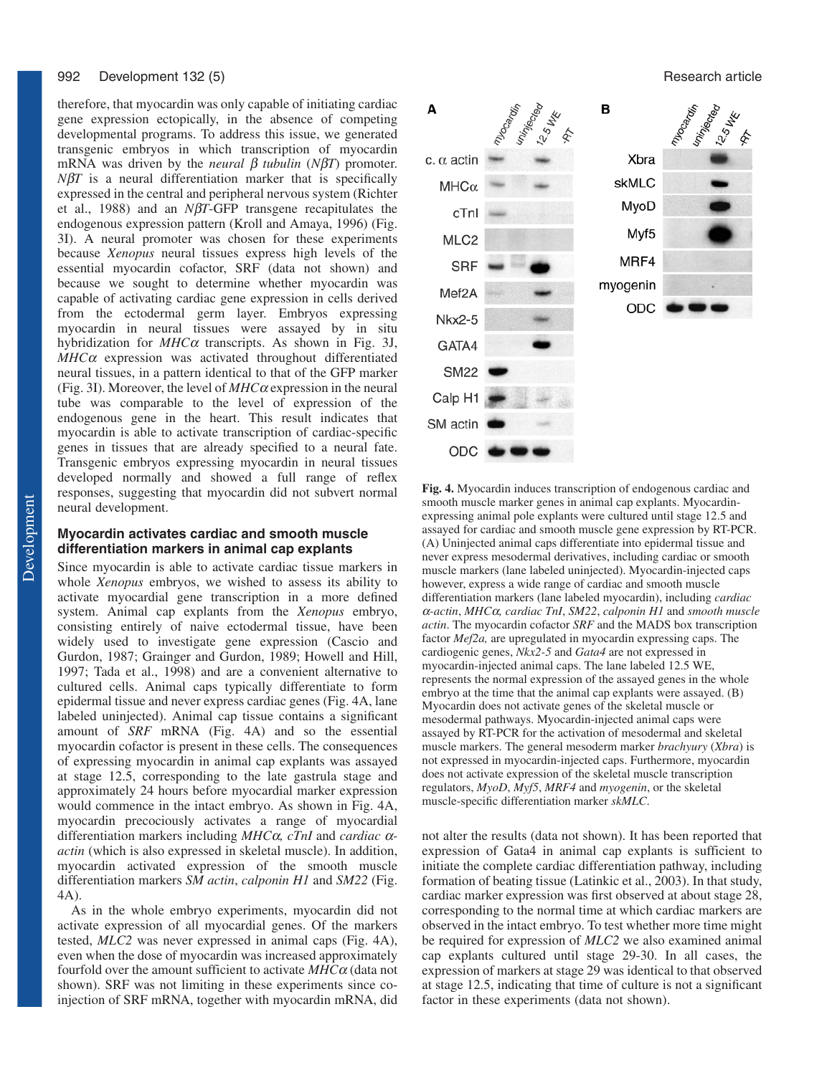#### 992 Development 132 (5) **Research article Development 132 (5)** Research article

therefore, that myocardin was only capable of initiating cardiac gene expression ectopically, in the absence of competing developmental programs. To address this issue, we generated transgenic embryos in which transcription of myocardin mRNA was driven by the *neural* β *tubulin* (*N*β*T*) promoter.  $N\beta T$  is a neural differentiation marker that is specifically expressed in the central and peripheral nervous system (Richter et al., 1988) and an *N*β*T*-GFP transgene recapitulates the endogenous expression pattern (Kroll and Amaya, 1996) (Fig. 3I). A neural promoter was chosen for these experiments because *Xenopus* neural tissues express high levels of the essential myocardin cofactor, SRF (data not shown) and because we sought to determine whether myocardin was capable of activating cardiac gene expression in cells derived from the ectodermal germ layer. Embryos expressing myocardin in neural tissues were assayed by in situ hybridization for *MHC*<sup>α</sup> transcripts. As shown in Fig. 3J, *MHC*<sup>α</sup> expression was activated throughout differentiated neural tissues, in a pattern identical to that of the GFP marker (Fig. 3I). Moreover, the level of *MHC*<sup>α</sup> expression in the neural tube was comparable to the level of expression of the endogenous gene in the heart. This result indicates that myocardin is able to activate transcription of cardiac-specific genes in tissues that are already specified to a neural fate. Transgenic embryos expressing myocardin in neural tissues developed normally and showed a full range of reflex responses, suggesting that myocardin did not subvert normal neural development.

# **Myocardin activates cardiac and smooth muscle differentiation markers in animal cap explants**

Since myocardin is able to activate cardiac tissue markers in whole *Xenopus* embryos, we wished to assess its ability to activate myocardial gene transcription in a more defined system. Animal cap explants from the *Xenopus* embryo, consisting entirely of naive ectodermal tissue, have been widely used to investigate gene expression (Cascio and Gurdon, 1987; Grainger and Gurdon, 1989; Howell and Hill, 1997; Tada et al., 1998) and are a convenient alternative to cultured cells. Animal caps typically differentiate to form epidermal tissue and never express cardiac genes (Fig. 4A, lane labeled uninjected). Animal cap tissue contains a significant amount of *SRF* mRNA (Fig. 4A) and so the essential myocardin cofactor is present in these cells. The consequences of expressing myocardin in animal cap explants was assayed at stage 12.5, corresponding to the late gastrula stage and approximately 24 hours before myocardial marker expression would commence in the intact embryo. As shown in Fig. 4A, myocardin precociously activates a range of myocardial differentiation markers including *MHC*α*, cTnI* and *cardiac* α*actin* (which is also expressed in skeletal muscle). In addition, myocardin activated expression of the smooth muscle differentiation markers *SM actin*, *calponin H1* and *SM22* (Fig. 4A).

As in the whole embryo experiments, myocardin did not activate expression of all myocardial genes. Of the markers tested, *MLC2* was never expressed in animal caps (Fig. 4A), even when the dose of myocardin was increased approximately fourfold over the amount sufficient to activate *MHC*<sup>α</sup> (data not shown). SRF was not limiting in these experiments since coinjection of SRF mRNA, together with myocardin mRNA, did



**Fig. 4.** Myocardin induces transcription of endogenous cardiac and smooth muscle marker genes in animal cap explants. Myocardinexpressing animal pole explants were cultured until stage 12.5 and assayed for cardiac and smooth muscle gene expression by RT-PCR. (A) Uninjected animal caps differentiate into epidermal tissue and never express mesodermal derivatives, including cardiac or smooth muscle markers (lane labeled uninjected). Myocardin-injected caps however, express a wide range of cardiac and smooth muscle differentiation markers (lane labeled myocardin), including *cardiac* <sup>α</sup>*-actin*, *MHC*α*, cardiac TnI*, *SM22*, *calponin H1* and *smooth muscle actin*. The myocardin cofactor *SRF* and the MADS box transcription factor *Mef2a,* are upregulated in myocardin expressing caps. The cardiogenic genes, *Nkx2-5* and *Gata4* are not expressed in myocardin-injected animal caps. The lane labeled 12.5 WE, represents the normal expression of the assayed genes in the whole embryo at the time that the animal cap explants were assayed. (B) Myocardin does not activate genes of the skeletal muscle or mesodermal pathways. Myocardin-injected animal caps were assayed by RT-PCR for the activation of mesodermal and skeletal muscle markers. The general mesoderm marker *brachyury* (*Xbra*) is not expressed in myocardin-injected caps. Furthermore, myocardin does not activate expression of the skeletal muscle transcription regulators, *MyoD*, *Myf5*, *MRF4* and *myogenin*, or the skeletal muscle-specific differentiation marker *skMLC*.

not alter the results (data not shown). It has been reported that expression of Gata4 in animal cap explants is sufficient to initiate the complete cardiac differentiation pathway, including formation of beating tissue (Latinkic et al., 2003). In that study, cardiac marker expression was first observed at about stage 28, corresponding to the normal time at which cardiac markers are observed in the intact embryo. To test whether more time might be required for expression of *MLC2* we also examined animal cap explants cultured until stage 29-30. In all cases, the expression of markers at stage 29 was identical to that observed at stage 12.5, indicating that time of culture is not a significant factor in these experiments (data not shown).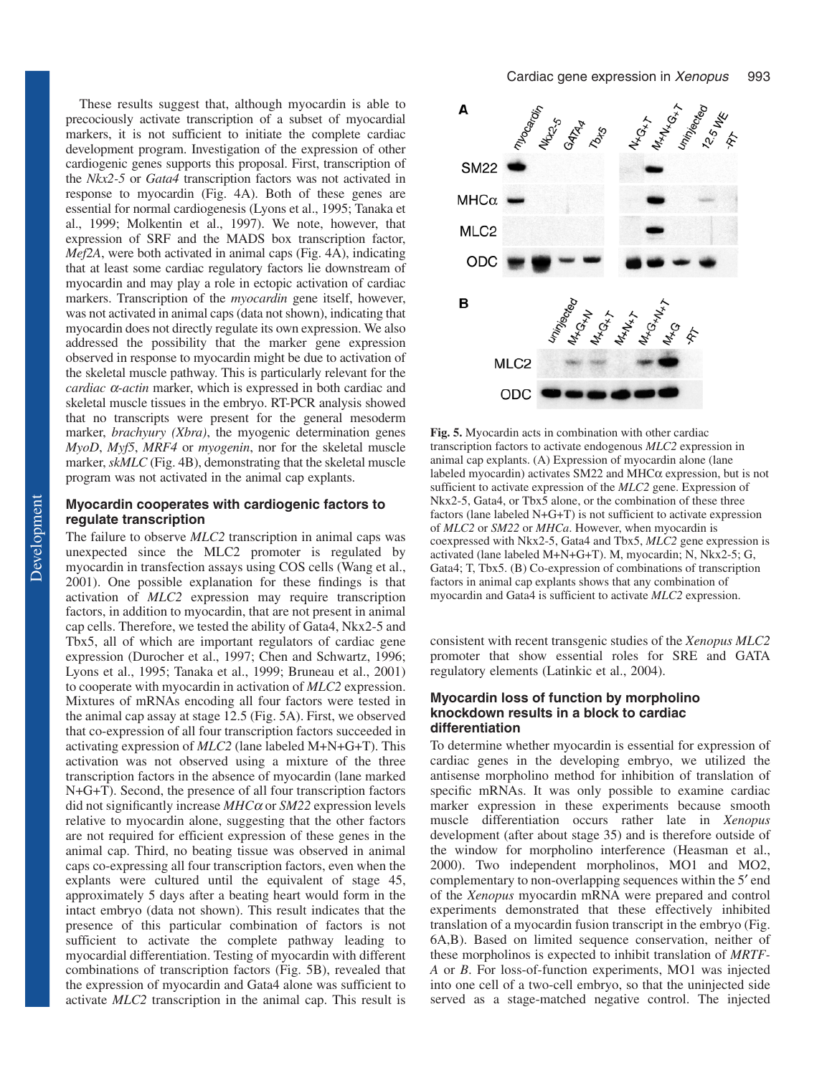These results suggest that, although myocardin is able to precociously activate transcription of a subset of myocardial markers, it is not sufficient to initiate the complete cardiac development program. Investigation of the expression of other cardiogenic genes supports this proposal. First, transcription of the *Nkx2-5* or *Gata4* transcription factors was not activated in response to myocardin (Fig. 4A). Both of these genes are essential for normal cardiogenesis (Lyons et al., 1995; Tanaka et al., 1999; Molkentin et al., 1997). We note, however, that expression of SRF and the MADS box transcription factor, *Mef2A*, were both activated in animal caps (Fig. 4A), indicating that at least some cardiac regulatory factors lie downstream of myocardin and may play a role in ectopic activation of cardiac markers. Transcription of the *myocardin* gene itself, however, was not activated in animal caps (data not shown), indicating that myocardin does not directly regulate its own expression. We also addressed the possibility that the marker gene expression observed in response to myocardin might be due to activation of the skeletal muscle pathway. This is particularly relevant for the *cardiac* α*-actin* marker, which is expressed in both cardiac and skeletal muscle tissues in the embryo. RT-PCR analysis showed that no transcripts were present for the general mesoderm marker, *brachyury (Xbra)*, the myogenic determination genes *MyoD*, *Myf5*, *MRF4* or *myogenin*, nor for the skeletal muscle marker, *skMLC* (Fig. 4B), demonstrating that the skeletal muscle program was not activated in the animal cap explants.

# **Myocardin cooperates with cardiogenic factors to regulate transcription**

The failure to observe *MLC2* transcription in animal caps was unexpected since the MLC2 promoter is regulated by myocardin in transfection assays using COS cells (Wang et al., 2001). One possible explanation for these findings is that activation of *MLC2* expression may require transcription factors, in addition to myocardin, that are not present in animal cap cells. Therefore, we tested the ability of Gata4, Nkx2-5 and Tbx5, all of which are important regulators of cardiac gene expression (Durocher et al., 1997; Chen and Schwartz, 1996; Lyons et al., 1995; Tanaka et al., 1999; Bruneau et al., 2001) to cooperate with myocardin in activation of *MLC2* expression. Mixtures of mRNAs encoding all four factors were tested in the animal cap assay at stage 12.5 (Fig. 5A). First, we observed that co-expression of all four transcription factors succeeded in activating expression of *MLC2* (lane labeled M+N+G+T). This activation was not observed using a mixture of the three transcription factors in the absence of myocardin (lane marked N+G+T). Second, the presence of all four transcription factors did not significantly increase *MHC*<sup>α</sup> or *SM22* expression levels relative to myocardin alone, suggesting that the other factors are not required for efficient expression of these genes in the animal cap. Third, no beating tissue was observed in animal caps co-expressing all four transcription factors, even when the explants were cultured until the equivalent of stage 45, approximately 5 days after a beating heart would form in the intact embryo (data not shown). This result indicates that the presence of this particular combination of factors is not sufficient to activate the complete pathway leading to myocardial differentiation. Testing of myocardin with different combinations of transcription factors (Fig. 5B), revealed that the expression of myocardin and Gata4 alone was sufficient to activate *MLC2* transcription in the animal cap. This result is



**Fig. 5.** Myocardin acts in combination with other cardiac transcription factors to activate endogenous *MLC2* expression in animal cap explants. (A) Expression of myocardin alone (lane labeled myocardin) activates SM22 and MHCα expression, but is not sufficient to activate expression of the *MLC2* gene. Expression of Nkx2-5, Gata4, or Tbx5 alone, or the combination of these three factors (lane labeled N+G+T) is not sufficient to activate expression of *MLC2* or *SM22* or *MHCa*. However, when myocardin is coexpressed with Nkx2-5, Gata4 and Tbx5, *MLC2* gene expression is activated (lane labeled M+N+G+T). M, myocardin; N, Nkx2-5; G, Gata4; T, Tbx5. (B) Co-expression of combinations of transcription factors in animal cap explants shows that any combination of myocardin and Gata4 is sufficient to activate *MLC2* expression.

consistent with recent transgenic studies of the *Xenopus MLC2* promoter that show essential roles for SRE and GATA regulatory elements (Latinkic et al., 2004).

# **Myocardin loss of function by morpholino knockdown results in a block to cardiac differentiation**

To determine whether myocardin is essential for expression of cardiac genes in the developing embryo, we utilized the antisense morpholino method for inhibition of translation of specific mRNAs. It was only possible to examine cardiac marker expression in these experiments because smooth muscle differentiation occurs rather late in *Xenopus* development (after about stage 35) and is therefore outside of the window for morpholino interference (Heasman et al., 2000). Two independent morpholinos, MO1 and MO2, complementary to non-overlapping sequences within the 5′ end of the *Xenopus* myocardin mRNA were prepared and control experiments demonstrated that these effectively inhibited translation of a myocardin fusion transcript in the embryo (Fig. 6A,B). Based on limited sequence conservation, neither of these morpholinos is expected to inhibit translation of *MRTF-A* or *B*. For loss-of-function experiments, MO1 was injected into one cell of a two-cell embryo, so that the uninjected side served as a stage-matched negative control. The injected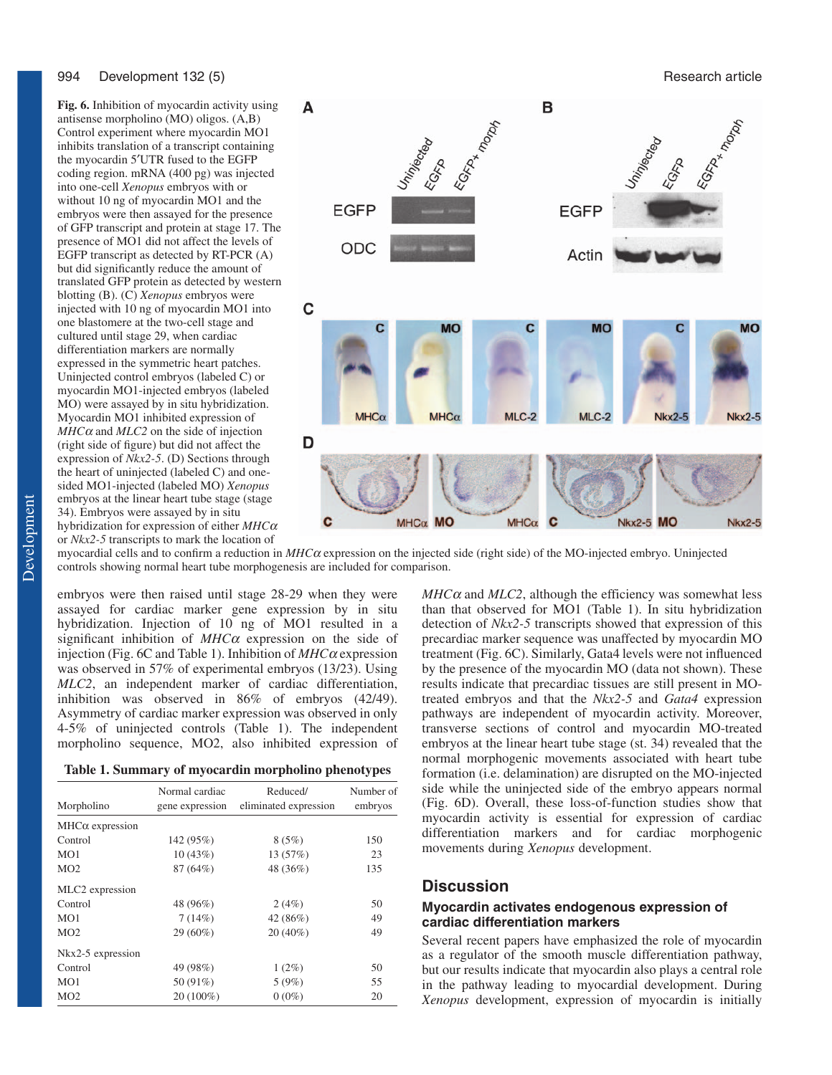#### 994 Development 132 (5) **Research article Development 132 (5)** Research article

**Fig. 6.** Inhibition of myocardin activity using antisense morpholino (MO) oligos. (A,B) Control experiment where myocardin MO1 inhibits translation of a transcript containing the myocardin 5′UTR fused to the EGFP coding region. mRNA (400 pg) was injected into one-cell *Xenopus* embryos with or without 10 ng of myocardin MO1 and the embryos were then assayed for the presence of GFP transcript and protein at stage 17. The presence of MO1 did not affect the levels of EGFP transcript as detected by RT-PCR (A) but did significantly reduce the amount of translated GFP protein as detected by western blotting (B). (C) *Xenopus* embryos were injected with 10 ng of myocardin MO1 into one blastomere at the two-cell stage and cultured until stage 29, when cardiac differentiation markers are normally expressed in the symmetric heart patches. Uninjected control embryos (labeled C) or myocardin MO1-injected embryos (labeled MO) were assayed by in situ hybridization. Myocardin MO1 inhibited expression of *MHC*<sup>α</sup> and *MLC2* on the side of injection (right side of figure) but did not affect the expression of *Nkx2-5*. (D) Sections through the heart of uninjected (labeled C) and onesided MO1-injected (labeled MO) *Xenopus* embryos at the linear heart tube stage (stage 34). Embryos were assayed by in situ hybridization for expression of either *MHC*<sup>α</sup> or *Nkx2-5* transcripts to mark the location of



myocardial cells and to confirm a reduction in *MHC*<sup>α</sup> expression on the injected side (right side) of the MO-injected embryo. Uninjected controls showing normal heart tube morphogenesis are included for comparison.

embryos were then raised until stage 28-29 when they were assayed for cardiac marker gene expression by in situ hybridization. Injection of 10 ng of MO1 resulted in a significant inhibition of *MHC*<sup>α</sup> expression on the side of injection (Fig. 6C and Table 1). Inhibition of *MHC*<sup>α</sup> expression was observed in 57% of experimental embryos (13/23). Using *MLC2*, an independent marker of cardiac differentiation, inhibition was observed in 86% of embryos (42/49). Asymmetry of cardiac marker expression was observed in only 4-5% of uninjected controls (Table 1). The independent morpholino sequence, MO2, also inhibited expression of

| Morpholino             | Normal cardiac<br>gene expression | Reduced/<br>eliminated expression | Number of<br>embryos |  |  |
|------------------------|-----------------------------------|-----------------------------------|----------------------|--|--|
| $MHC\alpha$ expression |                                   |                                   |                      |  |  |
| Control                | 142 (95%)                         | 8(5%)                             | 150                  |  |  |
| MO1                    | 10(43%)                           | 13 (57%)                          | 23                   |  |  |
| MO2                    | 87 (64%)                          | 48 (36%)                          | 135                  |  |  |
| MLC2 expression        |                                   |                                   |                      |  |  |
| Control                | 48 (96%)                          | 2(4%)                             | 50                   |  |  |
| MO1                    | 7(14%)                            | 42 (86%)                          | 49                   |  |  |
| MO <sub>2</sub>        | 29 (60%)                          | $20(40\%)$                        | 49                   |  |  |
| Nkx2-5 expression      |                                   |                                   |                      |  |  |
| Control                | 49 (98%)                          | $1(2\%)$                          | 50                   |  |  |
| MO1                    | 50 (91%)                          | 5(9%)                             | 55                   |  |  |
| MO <sub>2</sub>        | 20 (100%)                         | $0(0\%)$                          | 20                   |  |  |

 $MHC\alpha$  and  $MLC2$ , although the efficiency was somewhat less than that observed for MO1 (Table 1). In situ hybridization detection of *Nkx2-5* transcripts showed that expression of this precardiac marker sequence was unaffected by myocardin MO treatment (Fig. 6C). Similarly, Gata4 levels were not influenced by the presence of the myocardin MO (data not shown). These results indicate that precardiac tissues are still present in MOtreated embryos and that the *Nkx2-5* and *Gata4* expression pathways are independent of myocardin activity. Moreover, transverse sections of control and myocardin MO-treated embryos at the linear heart tube stage (st. 34) revealed that the normal morphogenic movements associated with heart tube formation (i.e. delamination) are disrupted on the MO-injected side while the uninjected side of the embryo appears normal (Fig. 6D). Overall, these loss-of-function studies show that myocardin activity is essential for expression of cardiac differentiation markers and for cardiac morphogenic movements during *Xenopus* development.

# **Discussion**

# **Myocardin activates endogenous expression of cardiac differentiation markers**

Several recent papers have emphasized the role of myocardin as a regulator of the smooth muscle differentiation pathway, but our results indicate that myocardin also plays a central role in the pathway leading to myocardial development. During *Xenopus* development, expression of myocardin is initially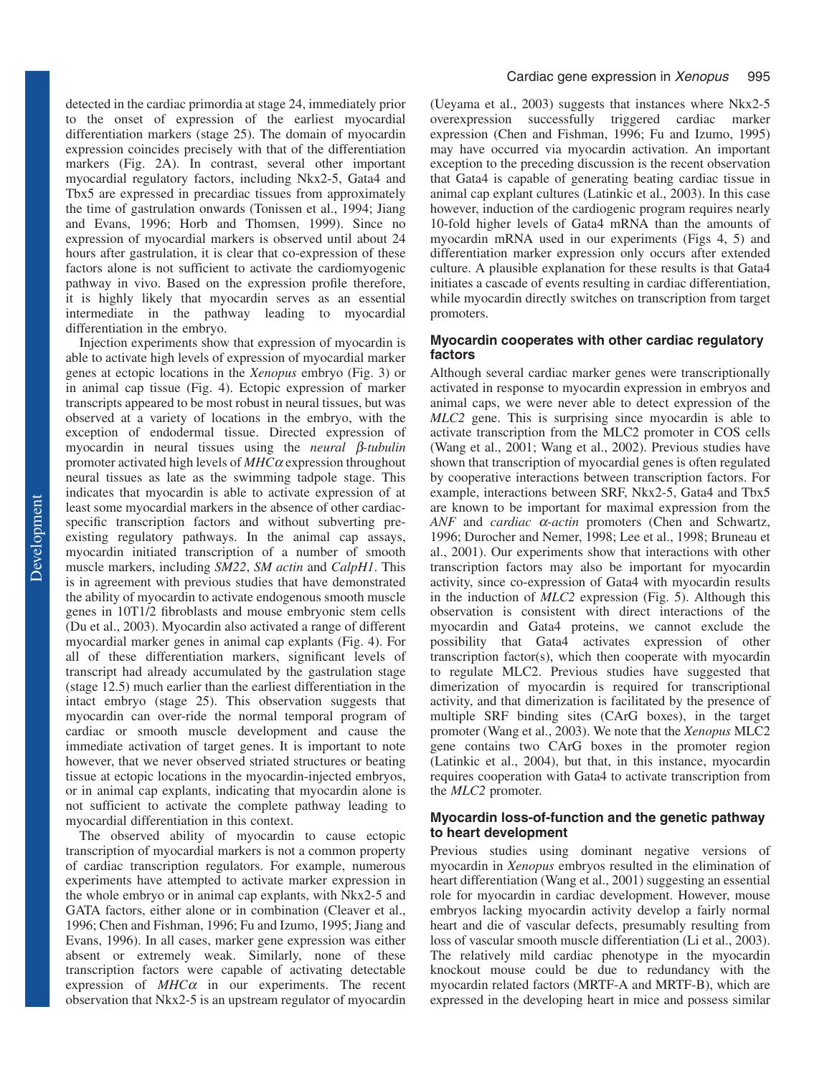detected in the cardiac primordia at stage 24, immediately prior to the onset of expression of the earliest myocardial differentiation markers (stage 25). The domain of myocardin expression coincides precisely with that of the differentiation markers (Fig. 2A). In contrast, several other important myocardial regulatory factors, including Nkx2-5, Gata4 and Tbx5 are expressed in precardiac tissues from approximately the time of gastrulation onwards (Tonissen et al., 1994; Jiang and Evans, 1996; Horb and Thomsen, 1999). Since no expression of myocardial markers is observed until about 24 hours after gastrulation, it is clear that co-expression of these factors alone is not sufficient to activate the cardiomyogenic pathway in vivo. Based on the expression profile therefore, it is highly likely that myocardin serves as an essential intermediate in the pathway leading to myocardial differentiation in the embryo.

Injection experiments show that expression of myocardin is able to activate high levels of expression of myocardial marker genes at ectopic locations in the *Xenopus* embryo (Fig. 3) or in animal cap tissue (Fig. 4). Ectopic expression of marker transcripts appeared to be most robust in neural tissues, but was observed at a variety of locations in the embryo, with the exception of endodermal tissue. Directed expression of myocardin in neural tissues using the *neural* β*-tubulin* promoter activated high levels of *MHC*<sup>α</sup> expression throughout neural tissues as late as the swimming tadpole stage. This indicates that myocardin is able to activate expression of at least some myocardial markers in the absence of other cardiacspecific transcription factors and without subverting preexisting regulatory pathways. In the animal cap assays, myocardin initiated transcription of a number of smooth muscle markers, including *SM22*, *SM actin* and *CalpH1*. This is in agreement with previous studies that have demonstrated the ability of myocardin to activate endogenous smooth muscle genes in 10T1/2 fibroblasts and mouse embryonic stem cells (Du et al., 2003). Myocardin also activated a range of different myocardial marker genes in animal cap explants (Fig. 4). For all of these differentiation markers, significant levels of transcript had already accumulated by the gastrulation stage (stage 12.5) much earlier than the earliest differentiation in the intact embryo (stage 25). This observation suggests that myocardin can over-ride the normal temporal program of cardiac or smooth muscle development and cause the immediate activation of target genes. It is important to note however, that we never observed striated structures or beating tissue at ectopic locations in the myocardin-injected embryos, or in animal cap explants, indicating that myocardin alone is not sufficient to activate the complete pathway leading to myocardial differentiation in this context.

The observed ability of myocardin to cause ectopic transcription of myocardial markers is not a common property of cardiac transcription regulators. For example, numerous experiments have attempted to activate marker expression in the whole embryo or in animal cap explants, with Nkx2-5 and GATA factors, either alone or in combination (Cleaver et al., 1996; Chen and Fishman, 1996; Fu and Izumo, 1995; Jiang and Evans, 1996). In all cases, marker gene expression was either absent or extremely weak. Similarly, none of these transcription factors were capable of activating detectable expression of *MHC*<sup>α</sup> in our experiments. The recent observation that Nkx2-5 is an upstream regulator of myocardin

(Ueyama et al., 2003) suggests that instances where Nkx2-5 overexpression successfully triggered cardiac marker expression (Chen and Fishman, 1996; Fu and Izumo, 1995) may have occurred via myocardin activation. An important exception to the preceding discussion is the recent observation that Gata4 is capable of generating beating cardiac tissue in animal cap explant cultures (Latinkic et al., 2003). In this case however, induction of the cardiogenic program requires nearly 10-fold higher levels of Gata4 mRNA than the amounts of myocardin mRNA used in our experiments (Figs 4, 5) and differentiation marker expression only occurs after extended culture. A plausible explanation for these results is that Gata4 initiates a cascade of events resulting in cardiac differentiation, while myocardin directly switches on transcription from target promoters.

# **Myocardin cooperates with other cardiac regulatory factors**

Although several cardiac marker genes were transcriptionally activated in response to myocardin expression in embryos and animal caps, we were never able to detect expression of the *MLC2* gene. This is surprising since myocardin is able to activate transcription from the MLC2 promoter in COS cells (Wang et al., 2001; Wang et al., 2002). Previous studies have shown that transcription of myocardial genes is often regulated by cooperative interactions between transcription factors. For example, interactions between SRF, Nkx2-5, Gata4 and Tbx5 are known to be important for maximal expression from the *ANF* and *cardiac* α*-actin* promoters (Chen and Schwartz, 1996; Durocher and Nemer, 1998; Lee et al., 1998; Bruneau et al., 2001). Our experiments show that interactions with other transcription factors may also be important for myocardin activity, since co-expression of Gata4 with myocardin results in the induction of *MLC2* expression (Fig. 5). Although this observation is consistent with direct interactions of the myocardin and Gata4 proteins, we cannot exclude the possibility that Gata4 activates expression of other transcription factor(s), which then cooperate with myocardin to regulate MLC2. Previous studies have suggested that dimerization of myocardin is required for transcriptional activity, and that dimerization is facilitated by the presence of multiple SRF binding sites (CArG boxes), in the target promoter (Wang et al., 2003). We note that the *Xenopus* MLC2 gene contains two CArG boxes in the promoter region (Latinkic et al., 2004), but that, in this instance, myocardin requires cooperation with Gata4 to activate transcription from the *MLC2* promoter.

# **Myocardin loss-of-function and the genetic pathway to heart development**

Previous studies using dominant negative versions of myocardin in *Xenopus* embryos resulted in the elimination of heart differentiation (Wang et al., 2001) suggesting an essential role for myocardin in cardiac development. However, mouse embryos lacking myocardin activity develop a fairly normal heart and die of vascular defects, presumably resulting from loss of vascular smooth muscle differentiation (Li et al., 2003). The relatively mild cardiac phenotype in the myocardin knockout mouse could be due to redundancy with the myocardin related factors (MRTF-A and MRTF-B), which are expressed in the developing heart in mice and possess similar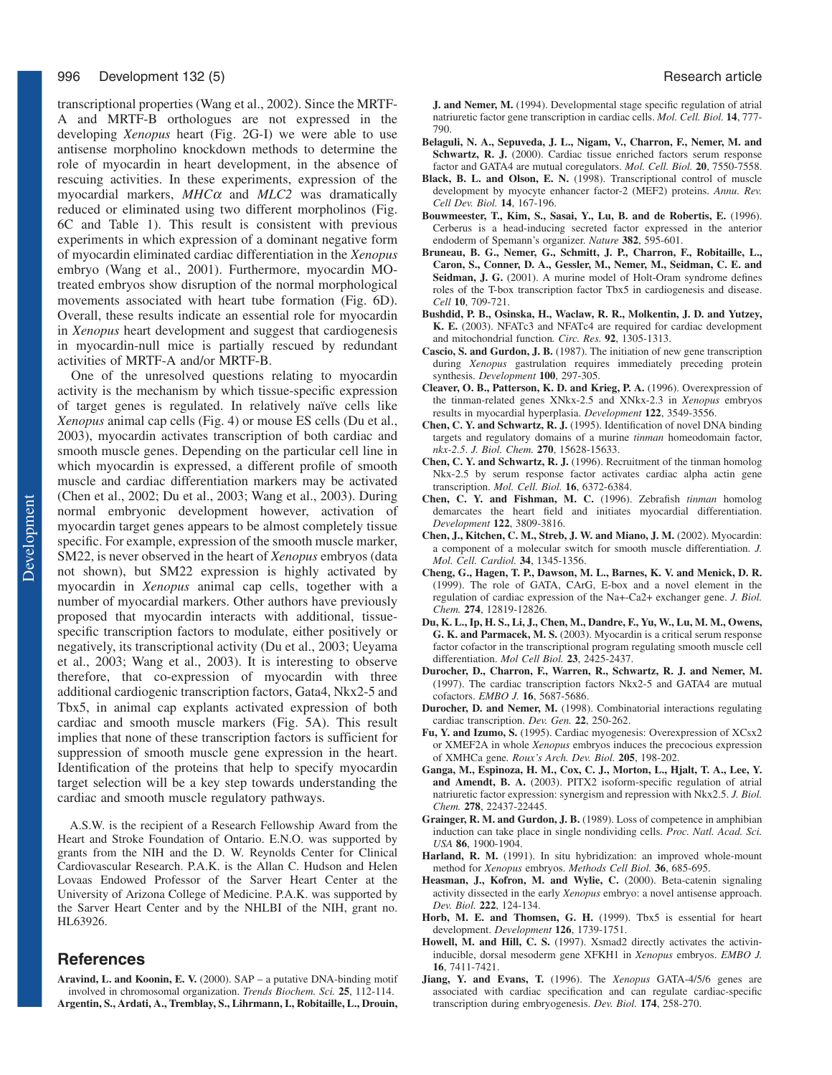transcriptional properties (Wang et al., 2002). Since the MRTF-A and MRTF-B orthologues are not expressed in the developing *Xenopus* heart (Fig. 2G-I) we were able to use antisense morpholino knockdown methods to determine the role of myocardin in heart development, in the absence of rescuing activities. In these experiments, expression of the myocardial markers, *MHC*<sup>α</sup> and *MLC2* was dramatically reduced or eliminated using two different morpholinos (Fig. 6C and Table 1). This result is consistent with previous experiments in which expression of a dominant negative form of myocardin eliminated cardiac differentiation in the *Xenopus* embryo (Wang et al., 2001). Furthermore, myocardin MOtreated embryos show disruption of the normal morphological movements associated with heart tube formation (Fig. 6D). Overall, these results indicate an essential role for myocardin in *Xenopus* heart development and suggest that cardiogenesis in myocardin-null mice is partially rescued by redundant activities of MRTF-A and/or MRTF-B.

One of the unresolved questions relating to myocardin activity is the mechanism by which tissue-specific expression of target genes is regulated. In relatively naïve cells like *Xenopus* animal cap cells (Fig. 4) or mouse ES cells (Du et al., 2003), myocardin activates transcription of both cardiac and smooth muscle genes. Depending on the particular cell line in which myocardin is expressed, a different profile of smooth muscle and cardiac differentiation markers may be activated (Chen et al., 2002; Du et al., 2003; Wang et al., 2003). During normal embryonic development however, activation of myocardin target genes appears to be almost completely tissue specific. For example, expression of the smooth muscle marker, SM22, is never observed in the heart of *Xenopus* embryos (data not shown), but SM22 expression is highly activated by myocardin in *Xenopus* animal cap cells, together with a number of myocardial markers. Other authors have previously proposed that myocardin interacts with additional, tissuespecific transcription factors to modulate, either positively or negatively, its transcriptional activity (Du et al., 2003; Ueyama et al., 2003; Wang et al., 2003). It is interesting to observe therefore, that co-expression of myocardin with three additional cardiogenic transcription factors, Gata4, Nkx2-5 and Tbx5, in animal cap explants activated expression of both cardiac and smooth muscle markers (Fig. 5A). This result implies that none of these transcription factors is sufficient for suppression of smooth muscle gene expression in the heart. Identification of the proteins that help to specify myocardin target selection will be a key step towards understanding the cardiac and smooth muscle regulatory pathways.

A.S.W. is the recipient of a Research Fellowship Award from the Heart and Stroke Foundation of Ontario. E.N.O. was supported by grants from the NIH and the D. W. Reynolds Center for Clinical Cardiovascular Research. P.A.K. is the Allan C. Hudson and Helen Lovaas Endowed Professor of the Sarver Heart Center at the University of Arizona College of Medicine. P.A.K. was supported by the Sarver Heart Center and by the NHLBI of the NIH, grant no. HL63926.

# **References**

Aravind, L. and Koonin, E. V. (2000). SAP – a putative DNA-binding motif involved in chromosomal organization. *Trends Biochem. Sci.* **25**, 112-114. **Argentin, S., Ardati, A., Tremblay, S., Lihrmann, I., Robitaille, L., Drouin,** **J. and Nemer, M.** (1994). Developmental stage specific regulation of atrial natriuretic factor gene transcription in cardiac cells. *Mol. Cell. Biol.* **14**, 777- 790.

- **Belaguli, N. A., Sepuveda, J. L., Nigam, V., Charron, F., Nemer, M. and** Schwartz, R. J. (2000). Cardiac tissue enriched factors serum response factor and GATA4 are mutual coregulators. *Mol. Cell. Biol.* **20**, 7550-7558.
- **Black, B. L. and Olson, E. N.** (1998). Transcriptional control of muscle development by myocyte enhancer factor-2 (MEF2) proteins. *Annu. Rev. Cell Dev. Biol.* **14**, 167-196.
- **Bouwmeester, T., Kim, S., Sasai, Y., Lu, B. and de Robertis, E.** (1996). Cerberus is a head-inducing secreted factor expressed in the anterior endoderm of Spemann's organizer. *Nature* **382**, 595-601.
- **Bruneau, B. G., Nemer, G., Schmitt, J. P., Charron, F., Robitaille, L., Caron, S., Conner, D. A., Gessler, M., Nemer, M., Seidman, C. E. and** Seidman, J. G. (2001). A murine model of Holt-Oram syndrome defines roles of the T-box transcription factor Tbx5 in cardiogenesis and disease. *Cell* **10**, 709-721.
- **Bushdid, P. B., Osinska, H., Waclaw, R. R., Molkentin, J. D. and Yutzey, K. E.** (2003). NFATc3 and NFATc4 are required for cardiac development and mitochondrial function*. Circ. Res.* **92**, 1305-1313.
- **Cascio, S. and Gurdon, J. B.** (1987). The initiation of new gene transcription during *Xenopus* gastrulation requires immediately preceding protein synthesis. *Development* **100**, 297-305.
- **Cleaver, O. B., Patterson, K. D. and Krieg, P. A.** (1996). Overexpression of the tinman-related genes XNkx-2.5 and XNkx-2.3 in *Xenopus* embryos results in myocardial hyperplasia. *Development* **122**, 3549-3556.
- **Chen, C. Y. and Schwartz, R. J.** (1995). Identification of novel DNA binding targets and regulatory domains of a murine *tinman* homeodomain factor, *nkx-2.5*. *J. Biol. Chem.* **270**, 15628-15633.
- **Chen, C. Y. and Schwartz, R. J.** (1996). Recruitment of the tinman homolog Nkx-2.5 by serum response factor activates cardiac alpha actin gene transcription. *Mol. Cell. Biol.* **16**, 6372-6384.
- **Chen, C. Y. and Fishman, M. C.** (1996). Zebrafish *tinman* homolog demarcates the heart field and initiates myocardial differentiation. *Development* **122**, 3809-3816.
- **Chen, J., Kitchen, C. M., Streb, J. W. and Miano, J. M.** (2002). Myocardin: a component of a molecular switch for smooth muscle differentiation. *J. Mol. Cell. Cardiol.* **34**, 1345-1356.
- **Cheng, G., Hagen, T. P., Dawson, M. L., Barnes, K. V. and Menick, D. R.** (1999). The role of GATA, CArG, E-box and a novel element in the regulation of cardiac expression of the Na+-Ca2+ exchanger gene. *J. Biol. Chem.* **274**, 12819-12826.
- **Du, K. L., Ip, H. S., Li, J., Chen, M., Dandre, F., Yu, W., Lu, M. M., Owens, G. K. and Parmacek, M. S.** (2003). Myocardin is a critical serum response factor cofactor in the transcriptional program regulating smooth muscle cell differentiation. *Mol Cell Biol.* **23**, 2425-2437.
- **Durocher, D., Charron, F., Warren, R., Schwartz, R. J. and Nemer, M.** (1997). The cardiac transcription factors Nkx2-5 and GATA4 are mutual cofactors. *EMBO J.* **16**, 5687-5686.
- **Durocher, D. and Nemer, M.** (1998). Combinatorial interactions regulating cardiac transcription. *Dev. Gen.* **22**, 250-262.
- **Fu, Y. and Izumo, S.** (1995). Cardiac myogenesis: Overexpression of XCsx2 or XMEF2A in whole *Xenopus* embryos induces the precocious expression of XMHCa gene*. Roux's Arch. Dev. Biol.* **205**, 198-202.
- **Ganga, M., Espinoza, H. M., Cox, C. J., Morton, L., Hjalt, T. A., Lee, Y. and Amendt, B. A.** (2003). PITX2 isoform-specific regulation of atrial natriuretic factor expression: synergism and repression with Nkx2.5. *J. Biol. Chem.* **278**, 22437-22445.
- **Grainger, R. M. and Gurdon, J. B.** (1989). Loss of competence in amphibian induction can take place in single nondividing cells. *Proc. Natl. Acad. Sci. USA* **86**, 1900-1904.
- Harland, R. M. (1991). In situ hybridization: an improved whole-mount method for *Xenopus* embryos. *Methods Cell Biol.* **36**, 685-695.
- Heasman, J., Kofron, M. and Wylie, C. (2000). Beta-catenin signaling activity dissected in the early *Xenopus* embryo: a novel antisense approach. *Dev. Biol.* **222**, 124-134.
- Horb, M. E. and Thomsen, G. H. (1999). Tbx5 is essential for heart development. *Development* **126**, 1739-1751.
- Howell, M. and Hill, C. S. (1997). Xsmad2 directly activates the activininducible, dorsal mesoderm gene XFKH1 in *Xenopus* embryos. *EMBO J.* **16**, 7411-7421.
- **Jiang, Y. and Evans, T.** (1996). The *Xenopus* GATA-4/5/6 genes are associated with cardiac specification and can regulate cardiac-specific transcription during embryogenesis. *Dev. Biol.* **174**, 258-270.